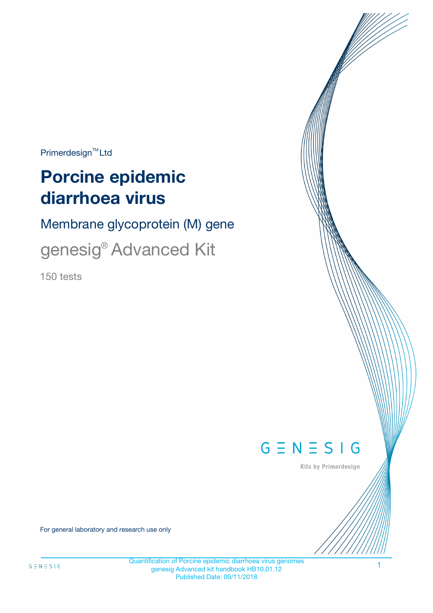$Primerdesign^{\text{TM}}Ltd$ 

# **Porcine epidemic diarrhoea virus**

Membrane glycoprotein (M) gene

genesig® Advanced Kit

150 tests



Kits by Primerdesign

For general laboratory and research use only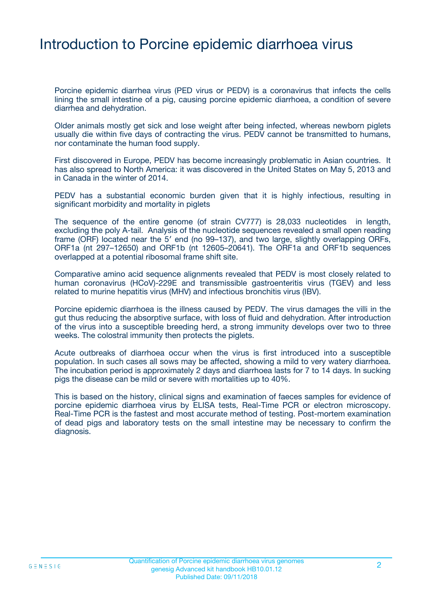### Introduction to Porcine epidemic diarrhoea virus

Porcine epidemic diarrhea virus (PED virus or PEDV) is a coronavirus that infects the cells lining the small intestine of a pig, causing porcine epidemic diarrhoea, a condition of severe diarrhea and dehydration.

Older animals mostly get sick and lose weight after being infected, whereas newborn piglets usually die within five days of contracting the virus. PEDV cannot be transmitted to humans, nor contaminate the human food supply.

First discovered in Europe, PEDV has become increasingly problematic in Asian countries. It has also spread to North America: it was discovered in the United States on May 5, 2013 and in Canada in the winter of 2014.

PEDV has a substantial economic burden given that it is highly infectious, resulting in significant morbidity and mortality in piglets

The sequence of the entire genome (of strain CV777) is 28,033 nucleotides in length, excluding the poly A-tail. Analysis of the nucleotide sequences revealed a small open reading frame (ORF) located near the 5′ end (no 99–137), and two large, slightly overlapping ORFs, ORF1a (nt 297–12650) and ORF1b (nt 12605–20641). The ORF1a and ORF1b sequences overlapped at a potential ribosomal frame shift site.

Comparative amino acid sequence alignments revealed that PEDV is most closely related to human coronavirus (HCoV)-229E and transmissible gastroenteritis virus (TGEV) and less related to murine hepatitis virus (MHV) and infectious bronchitis virus (IBV).

Porcine epidemic diarrhoea is the illness caused by PEDV. The virus damages the villi in the gut thus reducing the absorptive surface, with loss of fluid and dehydration. After introduction of the virus into a susceptible breeding herd, a strong immunity develops over two to three weeks. The colostral immunity then protects the piglets.

Acute outbreaks of diarrhoea occur when the virus is first introduced into a susceptible population. In such cases all sows may be affected, showing a mild to very watery diarrhoea. The incubation period is approximately 2 days and diarrhoea lasts for 7 to 14 days. In sucking pigs the disease can be mild or severe with mortalities up to 40%.

This is based on the history, clinical signs and examination of faeces samples for evidence of porcine epidemic diarrhoea virus by ELISA tests, Real-Time PCR or electron microscopy. Real-Time PCR is the fastest and most accurate method of testing. Post-mortem examination of dead pigs and laboratory tests on the small intestine may be necessary to confirm the diagnosis.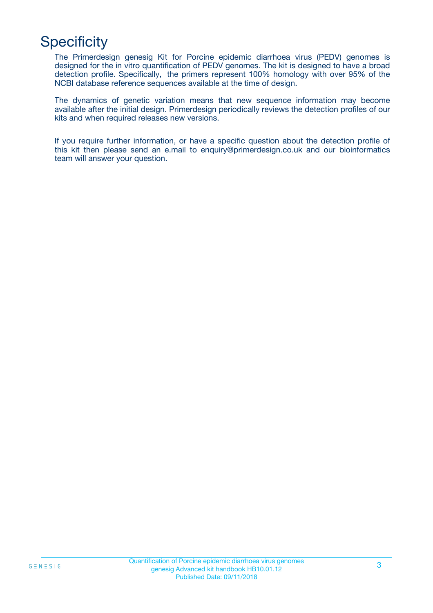# **Specificity**

The Primerdesign genesig Kit for Porcine epidemic diarrhoea virus (PEDV) genomes is designed for the in vitro quantification of PEDV genomes. The kit is designed to have a broad detection profile. Specifically, the primers represent 100% homology with over 95% of the NCBI database reference sequences available at the time of design.

The dynamics of genetic variation means that new sequence information may become available after the initial design. Primerdesign periodically reviews the detection profiles of our kits and when required releases new versions.

If you require further information, or have a specific question about the detection profile of this kit then please send an e.mail to enquiry@primerdesign.co.uk and our bioinformatics team will answer your question.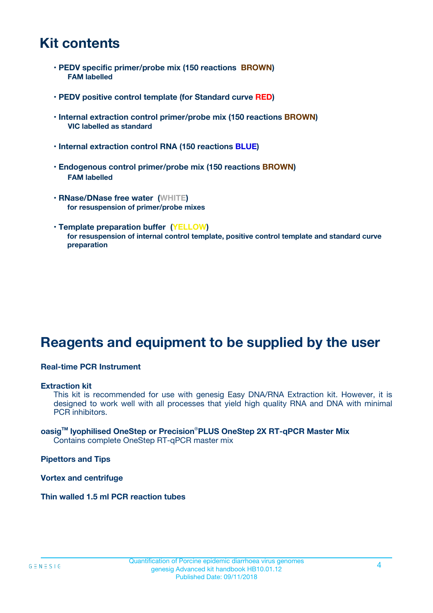### **Kit contents**

- **PEDV specific primer/probe mix (150 reactions BROWN) FAM labelled**
- **PEDV positive control template (for Standard curve RED)**
- **Internal extraction control primer/probe mix (150 reactions BROWN) VIC labelled as standard**
- **Internal extraction control RNA (150 reactions BLUE)**
- **Endogenous control primer/probe mix (150 reactions BROWN) FAM labelled**
- **RNase/DNase free water (WHITE) for resuspension of primer/probe mixes**
- **Template preparation buffer (YELLOW) for resuspension of internal control template, positive control template and standard curve preparation**

### **Reagents and equipment to be supplied by the user**

#### **Real-time PCR Instrument**

#### **Extraction kit**

This kit is recommended for use with genesig Easy DNA/RNA Extraction kit. However, it is designed to work well with all processes that yield high quality RNA and DNA with minimal PCR inhibitors.

#### **oasigTM lyophilised OneStep or Precision**®**PLUS OneStep 2X RT-qPCR Master Mix** Contains complete OneStep RT-qPCR master mix

**Pipettors and Tips**

**Vortex and centrifuge**

**Thin walled 1.5 ml PCR reaction tubes**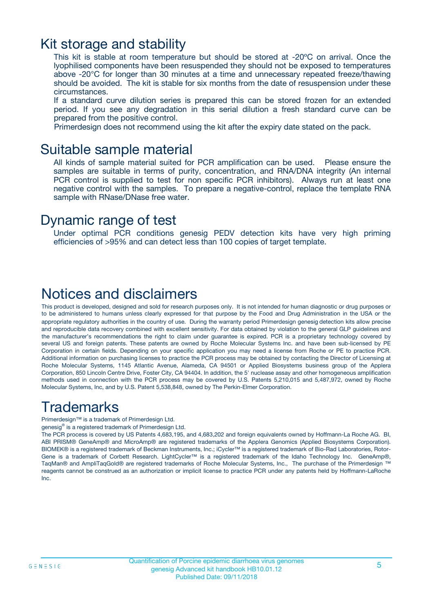### Kit storage and stability

This kit is stable at room temperature but should be stored at -20ºC on arrival. Once the lyophilised components have been resuspended they should not be exposed to temperatures above -20°C for longer than 30 minutes at a time and unnecessary repeated freeze/thawing should be avoided. The kit is stable for six months from the date of resuspension under these circumstances.

If a standard curve dilution series is prepared this can be stored frozen for an extended period. If you see any degradation in this serial dilution a fresh standard curve can be prepared from the positive control.

Primerdesign does not recommend using the kit after the expiry date stated on the pack.

### Suitable sample material

All kinds of sample material suited for PCR amplification can be used. Please ensure the samples are suitable in terms of purity, concentration, and RNA/DNA integrity (An internal PCR control is supplied to test for non specific PCR inhibitors). Always run at least one negative control with the samples. To prepare a negative-control, replace the template RNA sample with RNase/DNase free water.

### Dynamic range of test

Under optimal PCR conditions genesig PEDV detection kits have very high priming efficiencies of >95% and can detect less than 100 copies of target template.

### Notices and disclaimers

This product is developed, designed and sold for research purposes only. It is not intended for human diagnostic or drug purposes or to be administered to humans unless clearly expressed for that purpose by the Food and Drug Administration in the USA or the appropriate regulatory authorities in the country of use. During the warranty period Primerdesign genesig detection kits allow precise and reproducible data recovery combined with excellent sensitivity. For data obtained by violation to the general GLP guidelines and the manufacturer's recommendations the right to claim under guarantee is expired. PCR is a proprietary technology covered by several US and foreign patents. These patents are owned by Roche Molecular Systems Inc. and have been sub-licensed by PE Corporation in certain fields. Depending on your specific application you may need a license from Roche or PE to practice PCR. Additional information on purchasing licenses to practice the PCR process may be obtained by contacting the Director of Licensing at Roche Molecular Systems, 1145 Atlantic Avenue, Alameda, CA 94501 or Applied Biosystems business group of the Applera Corporation, 850 Lincoln Centre Drive, Foster City, CA 94404. In addition, the 5' nuclease assay and other homogeneous amplification methods used in connection with the PCR process may be covered by U.S. Patents 5,210,015 and 5,487,972, owned by Roche Molecular Systems, Inc, and by U.S. Patent 5,538,848, owned by The Perkin-Elmer Corporation.

### Trademarks

Primerdesign™ is a trademark of Primerdesign Ltd.

genesig® is a registered trademark of Primerdesign Ltd.

The PCR process is covered by US Patents 4,683,195, and 4,683,202 and foreign equivalents owned by Hoffmann-La Roche AG. BI, ABI PRISM® GeneAmp® and MicroAmp® are registered trademarks of the Applera Genomics (Applied Biosystems Corporation). BIOMEK® is a registered trademark of Beckman Instruments, Inc.; iCycler™ is a registered trademark of Bio-Rad Laboratories, Rotor-Gene is a trademark of Corbett Research. LightCycler™ is a registered trademark of the Idaho Technology Inc. GeneAmp®, TaqMan® and AmpliTaqGold® are registered trademarks of Roche Molecular Systems, Inc., The purchase of the Primerdesign ™ reagents cannot be construed as an authorization or implicit license to practice PCR under any patents held by Hoffmann-LaRoche Inc.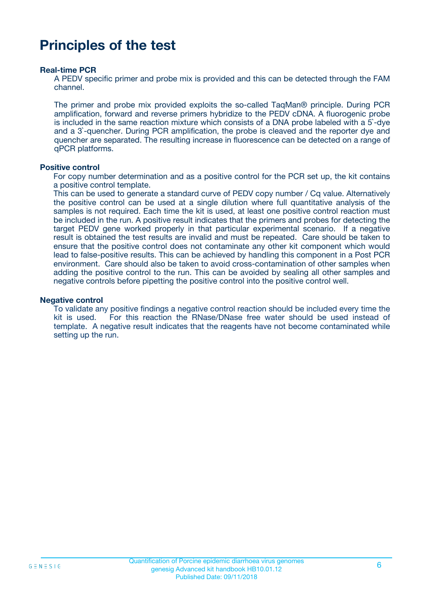### **Principles of the test**

#### **Real-time PCR**

A PEDV specific primer and probe mix is provided and this can be detected through the FAM channel.

The primer and probe mix provided exploits the so-called TaqMan® principle. During PCR amplification, forward and reverse primers hybridize to the PEDV cDNA. A fluorogenic probe is included in the same reaction mixture which consists of a DNA probe labeled with a 5`-dye and a 3`-quencher. During PCR amplification, the probe is cleaved and the reporter dye and quencher are separated. The resulting increase in fluorescence can be detected on a range of qPCR platforms.

#### **Positive control**

For copy number determination and as a positive control for the PCR set up, the kit contains a positive control template.

This can be used to generate a standard curve of PEDV copy number / Cq value. Alternatively the positive control can be used at a single dilution where full quantitative analysis of the samples is not required. Each time the kit is used, at least one positive control reaction must be included in the run. A positive result indicates that the primers and probes for detecting the target PEDV gene worked properly in that particular experimental scenario. If a negative result is obtained the test results are invalid and must be repeated. Care should be taken to ensure that the positive control does not contaminate any other kit component which would lead to false-positive results. This can be achieved by handling this component in a Post PCR environment. Care should also be taken to avoid cross-contamination of other samples when adding the positive control to the run. This can be avoided by sealing all other samples and negative controls before pipetting the positive control into the positive control well.

#### **Negative control**

To validate any positive findings a negative control reaction should be included every time the kit is used. For this reaction the RNase/DNase free water should be used instead of template. A negative result indicates that the reagents have not become contaminated while setting up the run.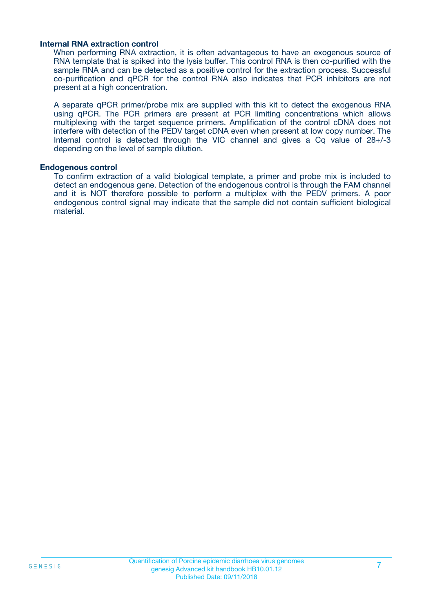#### **Internal RNA extraction control**

When performing RNA extraction, it is often advantageous to have an exogenous source of RNA template that is spiked into the lysis buffer. This control RNA is then co-purified with the sample RNA and can be detected as a positive control for the extraction process. Successful co-purification and qPCR for the control RNA also indicates that PCR inhibitors are not present at a high concentration.

A separate qPCR primer/probe mix are supplied with this kit to detect the exogenous RNA using qPCR. The PCR primers are present at PCR limiting concentrations which allows multiplexing with the target sequence primers. Amplification of the control cDNA does not interfere with detection of the PEDV target cDNA even when present at low copy number. The Internal control is detected through the VIC channel and gives a Cq value of 28+/-3 depending on the level of sample dilution.

#### **Endogenous control**

To confirm extraction of a valid biological template, a primer and probe mix is included to detect an endogenous gene. Detection of the endogenous control is through the FAM channel and it is NOT therefore possible to perform a multiplex with the PEDV primers. A poor endogenous control signal may indicate that the sample did not contain sufficient biological material.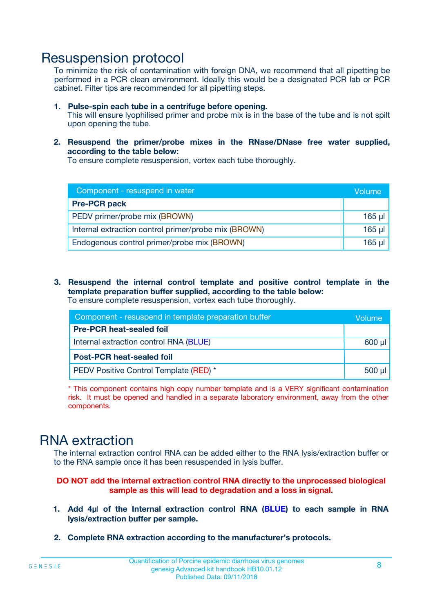### Resuspension protocol

To minimize the risk of contamination with foreign DNA, we recommend that all pipetting be performed in a PCR clean environment. Ideally this would be a designated PCR lab or PCR cabinet. Filter tips are recommended for all pipetting steps.

- **1. Pulse-spin each tube in a centrifuge before opening.** This will ensure lyophilised primer and probe mix is in the base of the tube and is not spilt upon opening the tube.
- **2. Resuspend the primer/probe mixes in the RNase/DNase free water supplied, according to the table below:**

To ensure complete resuspension, vortex each tube thoroughly.

| Component - resuspend in water                       |          |  |
|------------------------------------------------------|----------|--|
| <b>Pre-PCR pack</b>                                  |          |  |
| PEDV primer/probe mix (BROWN)                        | $165$ µl |  |
| Internal extraction control primer/probe mix (BROWN) | $165$ µl |  |
| Endogenous control primer/probe mix (BROWN)          | 165 µl   |  |

**3. Resuspend the internal control template and positive control template in the template preparation buffer supplied, according to the table below:** To ensure complete resuspension, vortex each tube thoroughly.

| Component - resuspend in template preparation buffer |             |  |  |
|------------------------------------------------------|-------------|--|--|
| <b>Pre-PCR heat-sealed foil</b>                      |             |  |  |
| Internal extraction control RNA (BLUE)               |             |  |  |
| <b>Post-PCR heat-sealed foil</b>                     |             |  |  |
| PEDV Positive Control Template (RED) *               | $500$ $\mu$ |  |  |

\* This component contains high copy number template and is a VERY significant contamination risk. It must be opened and handled in a separate laboratory environment, away from the other components.

### RNA extraction

The internal extraction control RNA can be added either to the RNA lysis/extraction buffer or to the RNA sample once it has been resuspended in lysis buffer.

#### **DO NOT add the internal extraction control RNA directly to the unprocessed biological sample as this will lead to degradation and a loss in signal.**

- **1. Add 4µ**l **of the Internal extraction control RNA (BLUE) to each sample in RNA lysis/extraction buffer per sample.**
- **2. Complete RNA extraction according to the manufacturer's protocols.**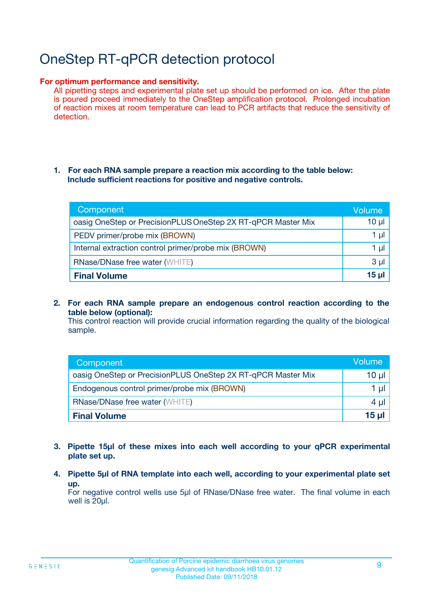# OneStep RT-qPCR detection protocol

#### **For optimum performance and sensitivity.**

All pipetting steps and experimental plate set up should be performed on ice. After the plate is poured proceed immediately to the OneStep amplification protocol. Prolonged incubation of reaction mixes at room temperature can lead to PCR artifacts that reduce the sensitivity of detection.

#### **1. For each RNA sample prepare a reaction mix according to the table below: Include sufficient reactions for positive and negative controls.**

| Component                                                    | Volume   |
|--------------------------------------------------------------|----------|
| oasig OneStep or PrecisionPLUS OneStep 2X RT-qPCR Master Mix | $10 \mu$ |
| PEDV primer/probe mix (BROWN)                                | 1 µl     |
| Internal extraction control primer/probe mix (BROWN)         | 1 µI     |
| <b>RNase/DNase free water (WHITE)</b>                        | $3 \mu$  |
| <b>Final Volume</b>                                          | 15 ul    |

**2. For each RNA sample prepare an endogenous control reaction according to the table below (optional):**

This control reaction will provide crucial information regarding the quality of the biological sample.

| Component                                                    | Volume          |
|--------------------------------------------------------------|-----------------|
| oasig OneStep or PrecisionPLUS OneStep 2X RT-qPCR Master Mix | 10 µl           |
| Endogenous control primer/probe mix (BROWN)                  | 1 µl            |
| <b>RNase/DNase free water (WHITE)</b>                        | $4 \mu$         |
| <b>Final Volume</b>                                          | $15$ µl $\vert$ |

- **3. Pipette 15µl of these mixes into each well according to your qPCR experimental plate set up.**
- **4. Pipette 5µl of RNA template into each well, according to your experimental plate set up.**

For negative control wells use 5µl of RNase/DNase free water. The final volume in each well is 20µl.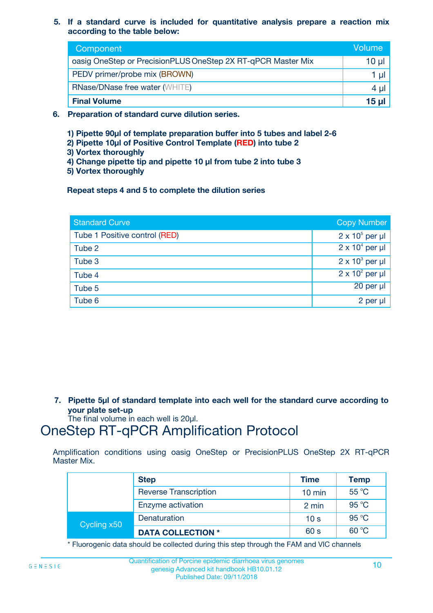**5. If a standard curve is included for quantitative analysis prepare a reaction mix according to the table below:**

| Component                                                    | Volume       |
|--------------------------------------------------------------|--------------|
| oasig OneStep or PrecisionPLUS OneStep 2X RT-qPCR Master Mix | 10 µl        |
| PEDV primer/probe mix (BROWN)                                |              |
| <b>RNase/DNase free water (WHITE)</b>                        | 4 µl         |
| <b>Final Volume</b>                                          | <u>15 µl</u> |

- **6. Preparation of standard curve dilution series.**
	- **1) Pipette 90µl of template preparation buffer into 5 tubes and label 2-6**
	- **2) Pipette 10µl of Positive Control Template (RED) into tube 2**
	- **3) Vortex thoroughly**
	- **4) Change pipette tip and pipette 10 µl from tube 2 into tube 3**
	- **5) Vortex thoroughly**

**Repeat steps 4 and 5 to complete the dilution series**

| <b>Standard Curve</b>         | <b>Copy Number</b>     |
|-------------------------------|------------------------|
| Tube 1 Positive control (RED) | $2 \times 10^5$ per µl |
| Tube 2                        | $2 \times 10^4$ per µl |
| Tube 3                        | $2 \times 10^3$ per µl |
| Tube 4                        | $2 \times 10^2$ per µl |
| Tube 5                        | 20 per µl              |
| Tube 6                        | 2 per µl               |

**7. Pipette 5µl of standard template into each well for the standard curve according to your plate set-up**

The final volume in each well is 20µl.

### OneStep RT-qPCR Amplification Protocol

Amplification conditions using oasig OneStep or PrecisionPLUS OneStep 2X RT-qPCR Master Mix.

|             | <b>Step</b>                  | <b>Time</b>      | <b>Temp</b> |
|-------------|------------------------------|------------------|-------------|
|             | <b>Reverse Transcription</b> | $10 \text{ min}$ | 55 °C       |
|             | Enzyme activation            | 2 min            | 95 °C       |
| Cycling x50 | Denaturation                 | 10 <sub>s</sub>  | 95 °C       |
|             | <b>DATA COLLECTION *</b>     | 60 s             | 60 °C       |

\* Fluorogenic data should be collected during this step through the FAM and VIC channels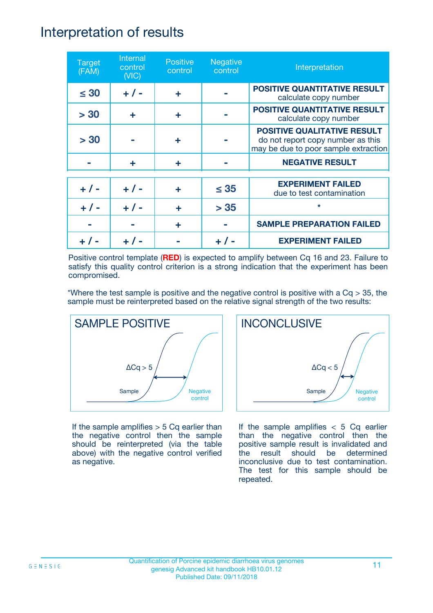### Interpretation of results

| <b>Target</b><br>(FAM) | Internal<br>control<br>(NIC) | <b>Positive</b><br>control | <b>Negative</b><br>control | Interpretation                                                                                                  |
|------------------------|------------------------------|----------------------------|----------------------------|-----------------------------------------------------------------------------------------------------------------|
| $\leq 30$              | $+ 1 -$                      | ÷                          |                            | <b>POSITIVE QUANTITATIVE RESULT</b><br>calculate copy number                                                    |
| > 30                   | ÷                            | ÷                          |                            | <b>POSITIVE QUANTITATIVE RESULT</b><br>calculate copy number                                                    |
| > 30                   |                              | ÷                          |                            | <b>POSITIVE QUALITATIVE RESULT</b><br>do not report copy number as this<br>may be due to poor sample extraction |
|                        | ÷                            | ÷                          |                            | <b>NEGATIVE RESULT</b>                                                                                          |
| $+ 1 -$                | $+ 1 -$                      | ÷                          | $\leq$ 35                  | <b>EXPERIMENT FAILED</b><br>due to test contamination                                                           |
| $+ 1 -$                | $+ 1 -$                      | ÷                          | > 35                       | $\star$                                                                                                         |
|                        |                              | ÷                          |                            | <b>SAMPLE PREPARATION FAILED</b>                                                                                |
|                        |                              |                            |                            | <b>EXPERIMENT FAILED</b>                                                                                        |

Positive control template (**RED**) is expected to amplify between Cq 16 and 23. Failure to satisfy this quality control criterion is a strong indication that the experiment has been compromised.

\*Where the test sample is positive and the negative control is positive with a  $Cq > 35$ , the sample must be reinterpreted based on the relative signal strength of the two results:



If the sample amplifies  $> 5$  Cq earlier than the negative control then the sample should be reinterpreted (via the table above) with the negative control verified as negative.



If the sample amplifies  $< 5$  Cq earlier than the negative control then the positive sample result is invalidated and the result should be determined inconclusive due to test contamination. The test for this sample should be repeated.